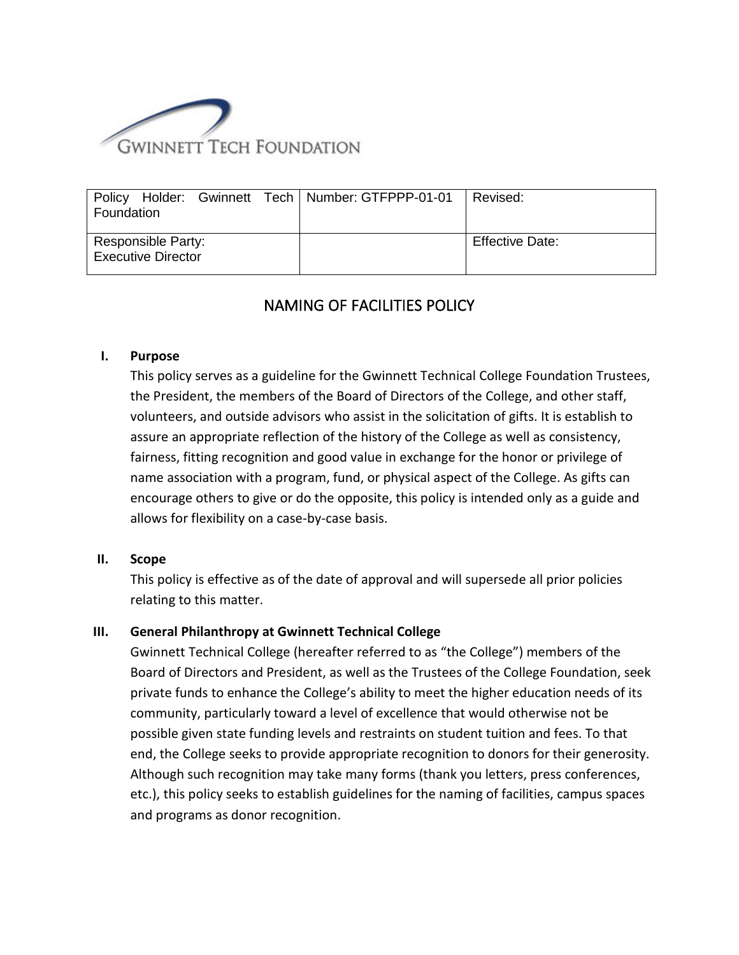

| Policy Holder: Gwinnett Tech   Number: GTFPPP-01-01 | Revised:               |
|-----------------------------------------------------|------------------------|
| Foundation                                          |                        |
| Responsible Party:                                  | <b>Effective Date:</b> |
| <b>Executive Director</b>                           |                        |

# NAMING OF FACILITIES POLICY

#### **I. Purpose**

This policy serves as a guideline for the Gwinnett Technical College Foundation Trustees, the President, the members of the Board of Directors of the College, and other staff, volunteers, and outside advisors who assist in the solicitation of gifts. It is establish to assure an appropriate reflection of the history of the College as well as consistency, fairness, fitting recognition and good value in exchange for the honor or privilege of name association with a program, fund, or physical aspect of the College. As gifts can encourage others to give or do the opposite, this policy is intended only as a guide and allows for flexibility on a case-by-case basis.

#### **II. Scope**

This policy is effective as of the date of approval and will supersede all prior policies relating to this matter.

#### **III. General Philanthropy at Gwinnett Technical College**

Gwinnett Technical College (hereafter referred to as "the College") members of the Board of Directors and President, as well as the Trustees of the College Foundation, seek private funds to enhance the College's ability to meet the higher education needs of its community, particularly toward a level of excellence that would otherwise not be possible given state funding levels and restraints on student tuition and fees. To that end, the College seeks to provide appropriate recognition to donors for their generosity. Although such recognition may take many forms (thank you letters, press conferences, etc.), this policy seeks to establish guidelines for the naming of facilities, campus spaces and programs as donor recognition.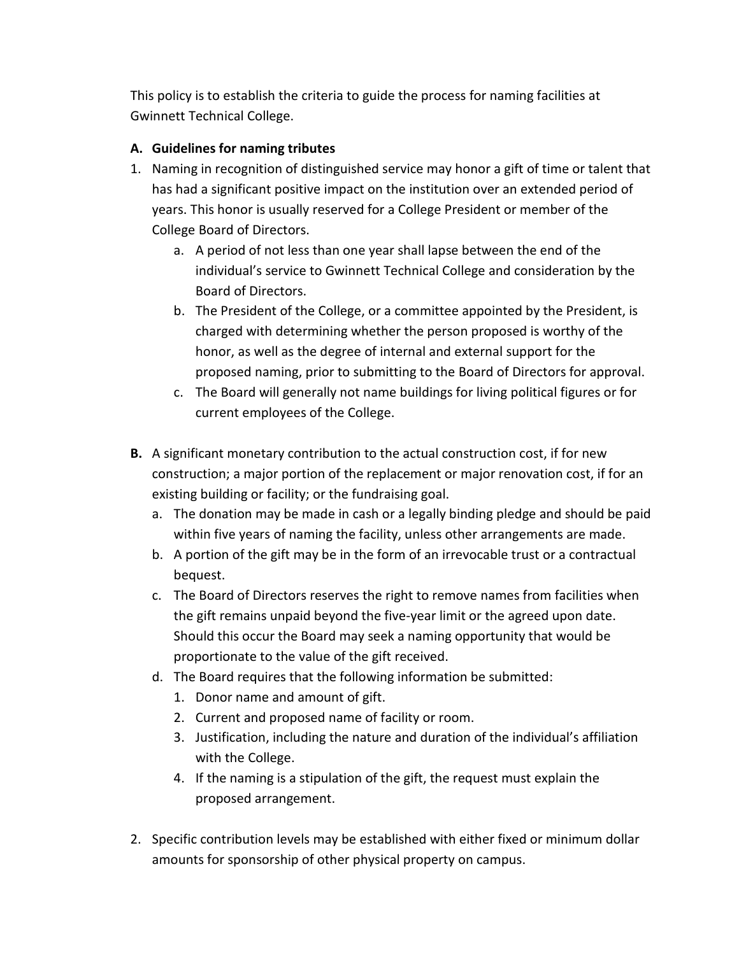This policy is to establish the criteria to guide the process for naming facilities at Gwinnett Technical College.

## **A. Guidelines for naming tributes**

- 1. Naming in recognition of distinguished service may honor a gift of time or talent that has had a significant positive impact on the institution over an extended period of years. This honor is usually reserved for a College President or member of the College Board of Directors.
	- a. A period of not less than one year shall lapse between the end of the individual's service to Gwinnett Technical College and consideration by the Board of Directors.
	- b. The President of the College, or a committee appointed by the President, is charged with determining whether the person proposed is worthy of the honor, as well as the degree of internal and external support for the proposed naming, prior to submitting to the Board of Directors for approval.
	- c. The Board will generally not name buildings for living political figures or for current employees of the College.
- **B.** A significant monetary contribution to the actual construction cost, if for new construction; a major portion of the replacement or major renovation cost, if for an existing building or facility; or the fundraising goal.
	- a. The donation may be made in cash or a legally binding pledge and should be paid within five years of naming the facility, unless other arrangements are made.
	- b. A portion of the gift may be in the form of an irrevocable trust or a contractual bequest.
	- c. The Board of Directors reserves the right to remove names from facilities when the gift remains unpaid beyond the five-year limit or the agreed upon date. Should this occur the Board may seek a naming opportunity that would be proportionate to the value of the gift received.
	- d. The Board requires that the following information be submitted:
		- 1. Donor name and amount of gift.
		- 2. Current and proposed name of facility or room.
		- 3. Justification, including the nature and duration of the individual's affiliation with the College.
		- 4. If the naming is a stipulation of the gift, the request must explain the proposed arrangement.
- 2. Specific contribution levels may be established with either fixed or minimum dollar amounts for sponsorship of other physical property on campus.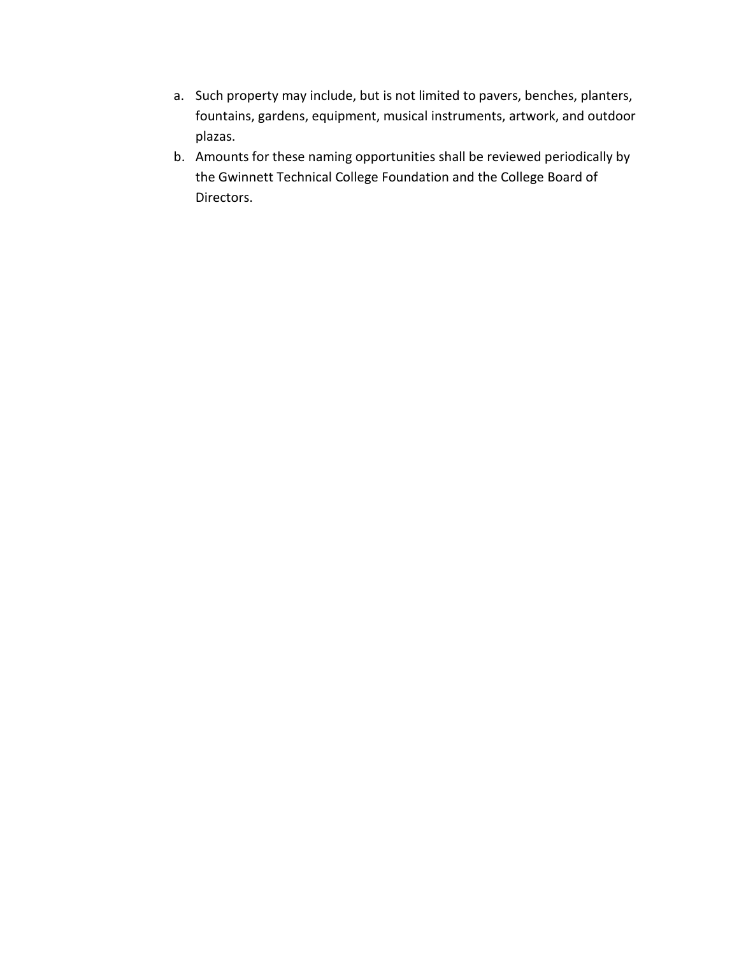- a. Such property may include, but is not limited to pavers, benches, planters, fountains, gardens, equipment, musical instruments, artwork, and outdoor plazas.
- b. Amounts for these naming opportunities shall be reviewed periodically by the Gwinnett Technical College Foundation and the College Board of Directors.